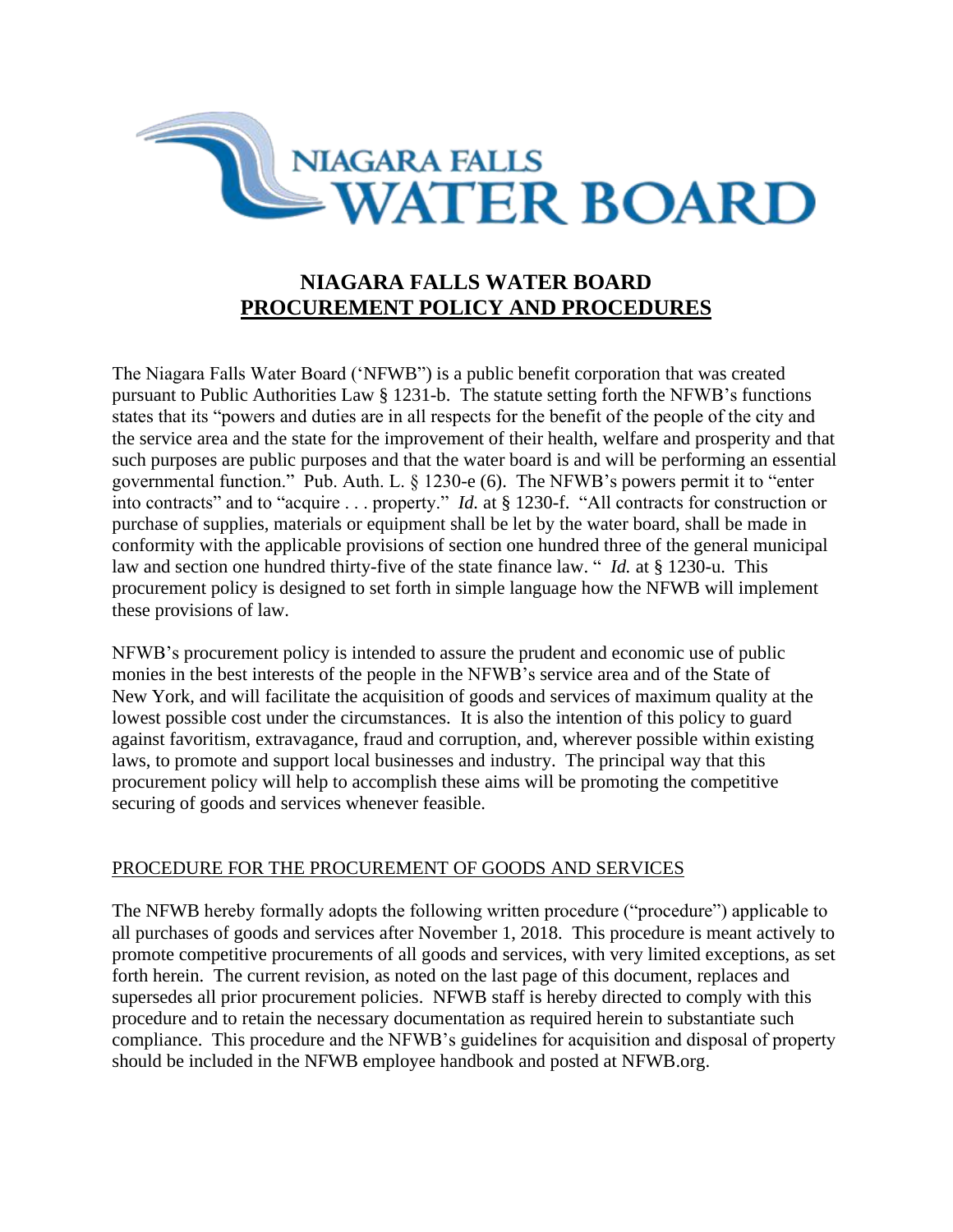

# **NIAGARA FALLS WATER BOARD PROCUREMENT POLICY AND PROCEDURES**

The Niagara Falls Water Board ('NFWB") is a public benefit corporation that was created pursuant to Public Authorities Law § 1231-b. The statute setting forth the NFWB's functions states that its "powers and duties are in all respects for the benefit of the people of the city and the service area and the state for the improvement of their health, welfare and prosperity and that such purposes are public purposes and that the water board is and will be performing an essential governmental function." Pub. Auth. L. § 1230-e (6). The NFWB's powers permit it to "enter into contracts" and to "acquire . . . property." *Id.* at § 1230-f. "All contracts for construction or purchase of supplies, materials or equipment shall be let by the water board, shall be made in conformity with the applicable provisions of section one hundred three of the general municipal law and section one hundred thirty-five of the state finance law. " *Id.* at § 1230-u. This procurement policy is designed to set forth in simple language how the NFWB will implement these provisions of law.

NFWB's procurement policy is intended to assure the prudent and economic use of public monies in the best interests of the people in the NFWB's service area and of the State of New York, and will facilitate the acquisition of goods and services of maximum quality at the lowest possible cost under the circumstances. It is also the intention of this policy to guard against favoritism, extravagance, fraud and corruption, and, wherever possible within existing laws, to promote and support local businesses and industry. The principal way that this procurement policy will help to accomplish these aims will be promoting the competitive securing of goods and services whenever feasible.

# PROCEDURE FOR THE PROCUREMENT OF GOODS AND SERVICES

The NFWB hereby formally adopts the following written procedure ("procedure") applicable to all purchases of goods and services after November 1, 2018. This procedure is meant actively to promote competitive procurements of all goods and services, with very limited exceptions, as set forth herein. The current revision, as noted on the last page of this document, replaces and supersedes all prior procurement policies. NFWB staff is hereby directed to comply with this procedure and to retain the necessary documentation as required herein to substantiate such compliance. This procedure and the NFWB's guidelines for acquisition and disposal of property should be included in the NFWB employee handbook and posted at NFWB.org.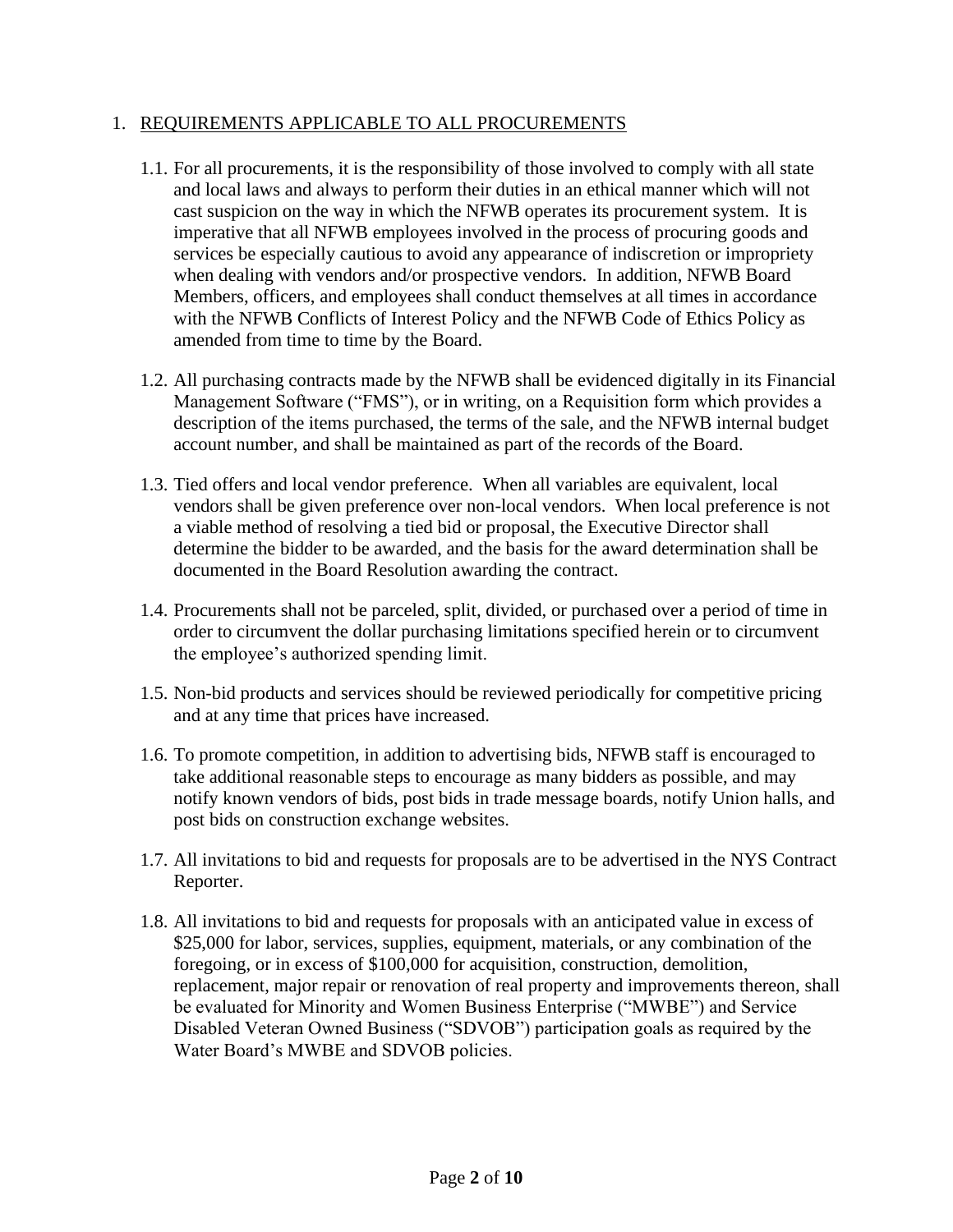## 1. REQUIREMENTS APPLICABLE TO ALL PROCUREMENTS

- 1.1. For all procurements, it is the responsibility of those involved to comply with all state and local laws and always to perform their duties in an ethical manner which will not cast suspicion on the way in which the NFWB operates its procurement system. It is imperative that all NFWB employees involved in the process of procuring goods and services be especially cautious to avoid any appearance of indiscretion or impropriety when dealing with vendors and/or prospective vendors. In addition, NFWB Board Members, officers, and employees shall conduct themselves at all times in accordance with the NFWB Conflicts of Interest Policy and the NFWB Code of Ethics Policy as amended from time to time by the Board.
- 1.2. All purchasing contracts made by the NFWB shall be evidenced digitally in its Financial Management Software ("FMS"), or in writing, on a Requisition form which provides a description of the items purchased, the terms of the sale, and the NFWB internal budget account number, and shall be maintained as part of the records of the Board.
- 1.3. Tied offers and local vendor preference. When all variables are equivalent, local vendors shall be given preference over non-local vendors. When local preference is not a viable method of resolving a tied bid or proposal, the Executive Director shall determine the bidder to be awarded, and the basis for the award determination shall be documented in the Board Resolution awarding the contract.
- 1.4. Procurements shall not be parceled, split, divided, or purchased over a period of time in order to circumvent the dollar purchasing limitations specified herein or to circumvent the employee's authorized spending limit.
- 1.5. Non-bid products and services should be reviewed periodically for competitive pricing and at any time that prices have increased.
- 1.6. To promote competition, in addition to advertising bids, NFWB staff is encouraged to take additional reasonable steps to encourage as many bidders as possible, and may notify known vendors of bids, post bids in trade message boards, notify Union halls, and post bids on construction exchange websites.
- 1.7. All invitations to bid and requests for proposals are to be advertised in the NYS Contract Reporter.
- 1.8. All invitations to bid and requests for proposals with an anticipated value in excess of \$25,000 for labor, services, supplies, equipment, materials, or any combination of the foregoing, or in excess of \$100,000 for acquisition, construction, demolition, replacement, major repair or renovation of real property and improvements thereon, shall be evaluated for Minority and Women Business Enterprise ("MWBE") and Service Disabled Veteran Owned Business ("SDVOB") participation goals as required by the Water Board's MWBE and SDVOB policies.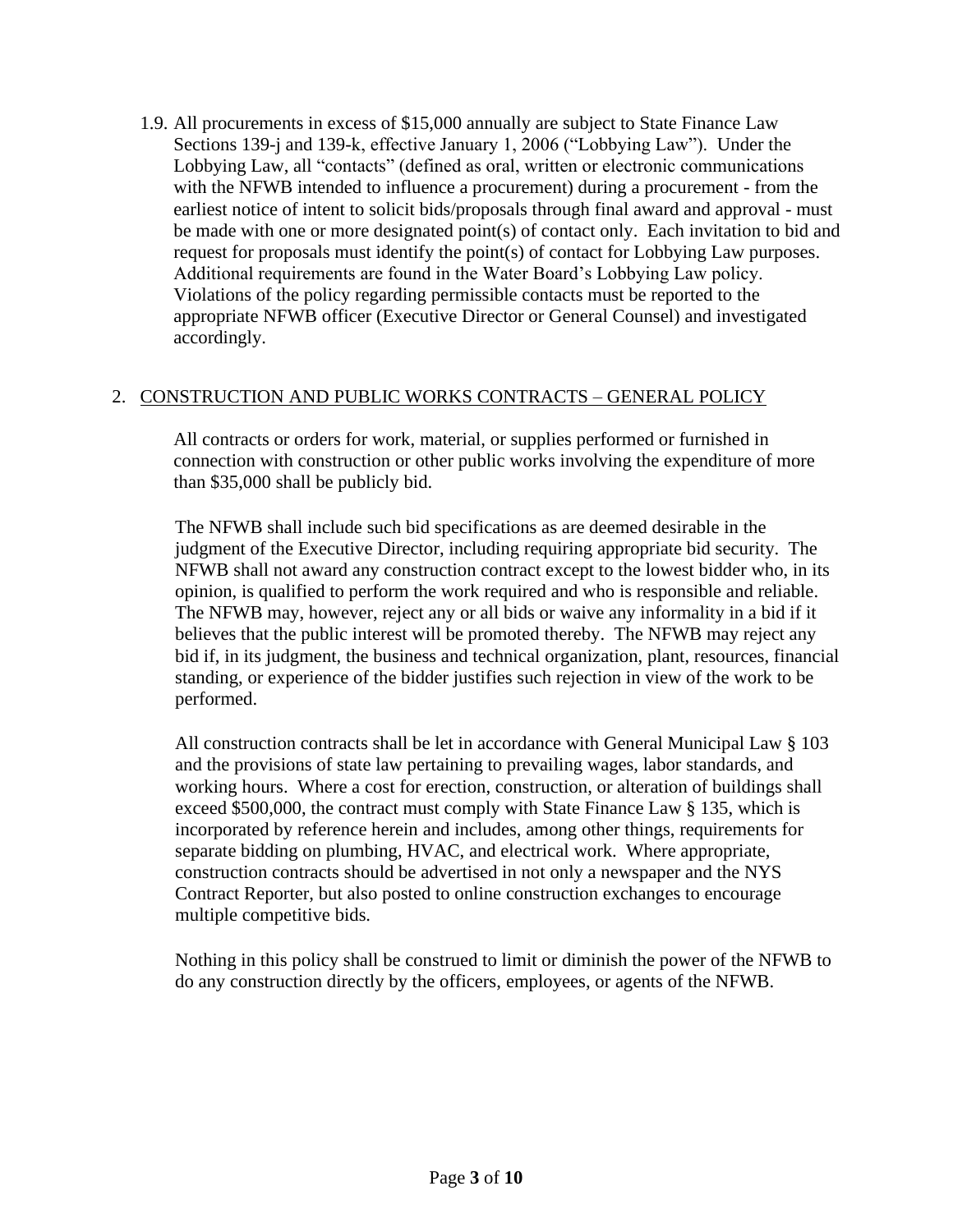1.9. All procurements in excess of \$15,000 annually are subject to State Finance Law Sections 139-j and 139-k, effective January 1, 2006 ("Lobbying Law"). Under the Lobbying Law, all "contacts" (defined as oral, written or electronic communications with the NFWB intended to influence a procurement) during a procurement - from the earliest notice of intent to solicit bids/proposals through final award and approval - must be made with one or more designated point(s) of contact only. Each invitation to bid and request for proposals must identify the point(s) of contact for Lobbying Law purposes. Additional requirements are found in the Water Board's Lobbying Law policy. Violations of the policy regarding permissible contacts must be reported to the appropriate NFWB officer (Executive Director or General Counsel) and investigated accordingly.

# 2. CONSTRUCTION AND PUBLIC WORKS CONTRACTS – GENERAL POLICY

All contracts or orders for work, material, or supplies performed or furnished in connection with construction or other public works involving the expenditure of more than \$35,000 shall be publicly bid.

The NFWB shall include such bid specifications as are deemed desirable in the judgment of the Executive Director, including requiring appropriate bid security. The NFWB shall not award any construction contract except to the lowest bidder who, in its opinion, is qualified to perform the work required and who is responsible and reliable. The NFWB may, however, reject any or all bids or waive any informality in a bid if it believes that the public interest will be promoted thereby. The NFWB may reject any bid if, in its judgment, the business and technical organization, plant, resources, financial standing, or experience of the bidder justifies such rejection in view of the work to be performed.

All construction contracts shall be let in accordance with General Municipal Law § 103 and the provisions of state law pertaining to prevailing wages, labor standards, and working hours. Where a cost for erection, construction, or alteration of buildings shall exceed \$500,000, the contract must comply with State Finance Law § 135, which is incorporated by reference herein and includes, among other things, requirements for separate bidding on plumbing, HVAC, and electrical work. Where appropriate, construction contracts should be advertised in not only a newspaper and the NYS Contract Reporter, but also posted to online construction exchanges to encourage multiple competitive bids.

Nothing in this policy shall be construed to limit or diminish the power of the NFWB to do any construction directly by the officers, employees, or agents of the NFWB.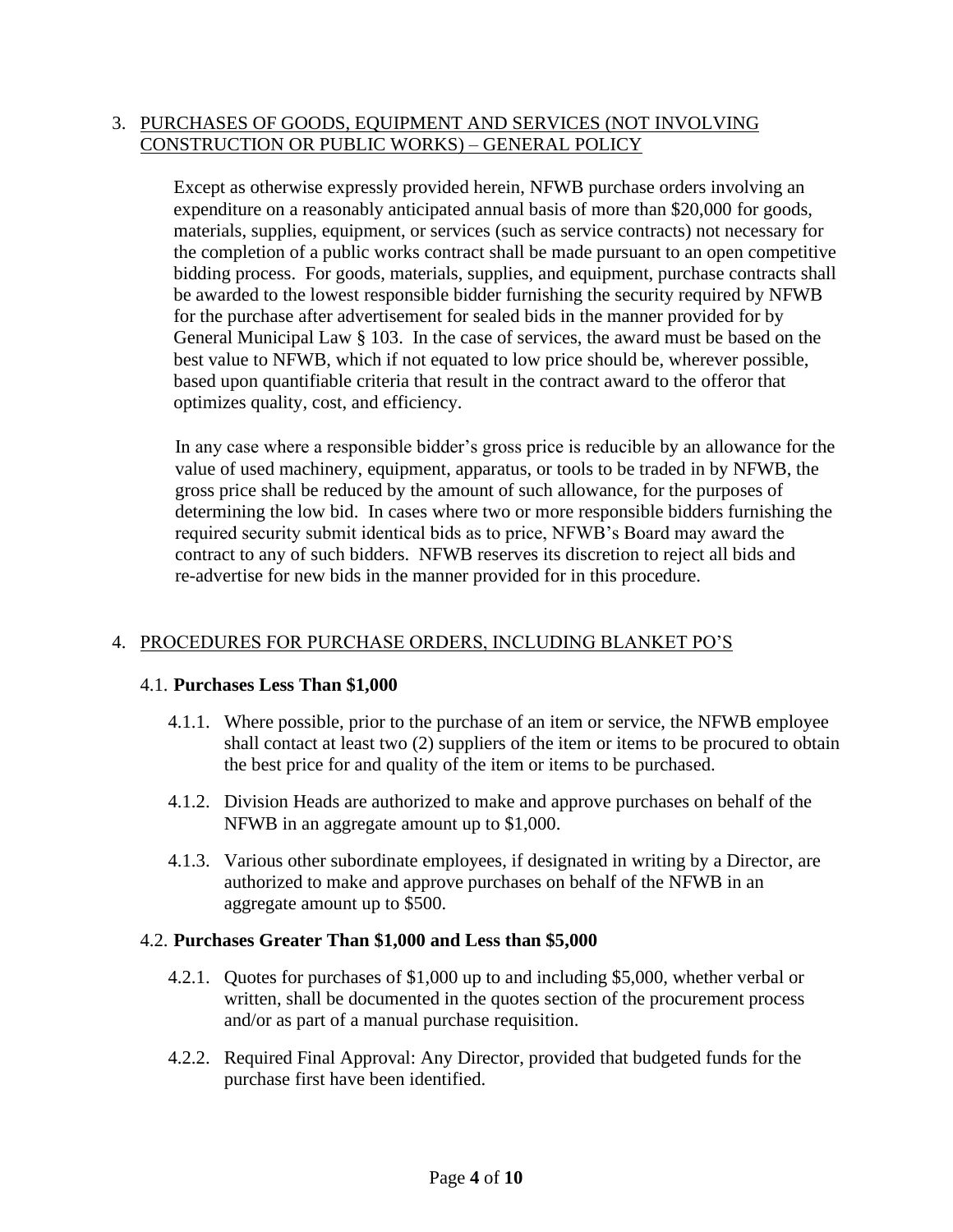## 3. PURCHASES OF GOODS, EQUIPMENT AND SERVICES (NOT INVOLVING CONSTRUCTION OR PUBLIC WORKS) – GENERAL POLICY

Except as otherwise expressly provided herein, NFWB purchase orders involving an expenditure on a reasonably anticipated annual basis of more than \$20,000 for goods, materials, supplies, equipment, or services (such as service contracts) not necessary for the completion of a public works contract shall be made pursuant to an open competitive bidding process. For goods, materials, supplies, and equipment, purchase contracts shall be awarded to the lowest responsible bidder furnishing the security required by NFWB for the purchase after advertisement for sealed bids in the manner provided for by General Municipal Law § 103. In the case of services, the award must be based on the best value to NFWB, which if not equated to low price should be, wherever possible, based upon quantifiable criteria that result in the contract award to the offeror that optimizes quality, cost, and efficiency.

In any case where a responsible bidder's gross price is reducible by an allowance for the value of used machinery, equipment, apparatus, or tools to be traded in by NFWB, the gross price shall be reduced by the amount of such allowance, for the purposes of determining the low bid. In cases where two or more responsible bidders furnishing the required security submit identical bids as to price, NFWB's Board may award the contract to any of such bidders. NFWB reserves its discretion to reject all bids and re-advertise for new bids in the manner provided for in this procedure.

# 4. PROCEDURES FOR PURCHASE ORDERS, INCLUDING BLANKET PO'S

#### 4.1. **Purchases Less Than \$1,000**

- 4.1.1. Where possible, prior to the purchase of an item or service, the NFWB employee shall contact at least two (2) suppliers of the item or items to be procured to obtain the best price for and quality of the item or items to be purchased.
- 4.1.2. Division Heads are authorized to make and approve purchases on behalf of the NFWB in an aggregate amount up to \$1,000.
- 4.1.3. Various other subordinate employees, if designated in writing by a Director, are authorized to make and approve purchases on behalf of the NFWB in an aggregate amount up to \$500.

#### 4.2. **Purchases Greater Than \$1,000 and Less than \$5,000**

- 4.2.1. Quotes for purchases of \$1,000 up to and including \$5,000, whether verbal or written, shall be documented in the quotes section of the procurement process and/or as part of a manual purchase requisition.
- 4.2.2. Required Final Approval: Any Director, provided that budgeted funds for the purchase first have been identified.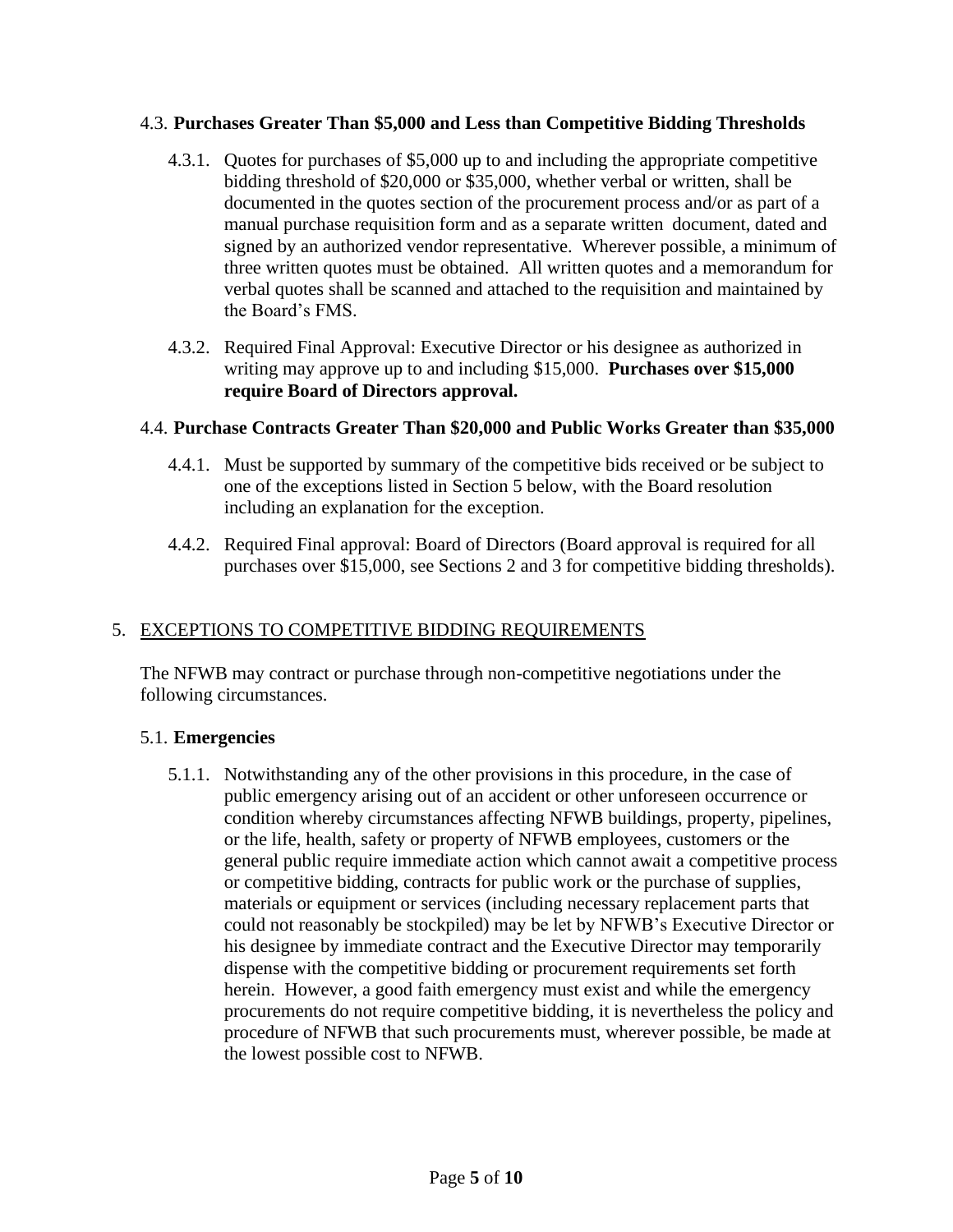## 4.3. **Purchases Greater Than \$5,000 and Less than Competitive Bidding Thresholds**

- 4.3.1. Quotes for purchases of \$5,000 up to and including the appropriate competitive bidding threshold of \$20,000 or \$35,000, whether verbal or written, shall be documented in the quotes section of the procurement process and/or as part of a manual purchase requisition form and as a separate written document, dated and signed by an authorized vendor representative. Wherever possible, a minimum of three written quotes must be obtained. All written quotes and a memorandum for verbal quotes shall be scanned and attached to the requisition and maintained by the Board's FMS.
- 4.3.2. Required Final Approval: Executive Director or his designee as authorized in writing may approve up to and including \$15,000. **Purchases over \$15,000 require Board of Directors approval.**

# 4.4. **Purchase Contracts Greater Than \$20,000 and Public Works Greater than \$35,000**

- 4.4.1. Must be supported by summary of the competitive bids received or be subject to one of the exceptions listed in Section 5 below, with the Board resolution including an explanation for the exception.
- 4.4.2. Required Final approval: Board of Directors (Board approval is required for all purchases over \$15,000, see Sections 2 and 3 for competitive bidding thresholds).

# 5. EXCEPTIONS TO COMPETITIVE BIDDING REQUIREMENTS

The NFWB may contract or purchase through non-competitive negotiations under the following circumstances.

# 5.1. **Emergencies**

5.1.1. Notwithstanding any of the other provisions in this procedure, in the case of public emergency arising out of an accident or other unforeseen occurrence or condition whereby circumstances affecting NFWB buildings, property, pipelines, or the life, health, safety or property of NFWB employees, customers or the general public require immediate action which cannot await a competitive process or competitive bidding, contracts for public work or the purchase of supplies, materials or equipment or services (including necessary replacement parts that could not reasonably be stockpiled) may be let by NFWB's Executive Director or his designee by immediate contract and the Executive Director may temporarily dispense with the competitive bidding or procurement requirements set forth herein. However, a good faith emergency must exist and while the emergency procurements do not require competitive bidding, it is nevertheless the policy and procedure of NFWB that such procurements must, wherever possible, be made at the lowest possible cost to NFWB.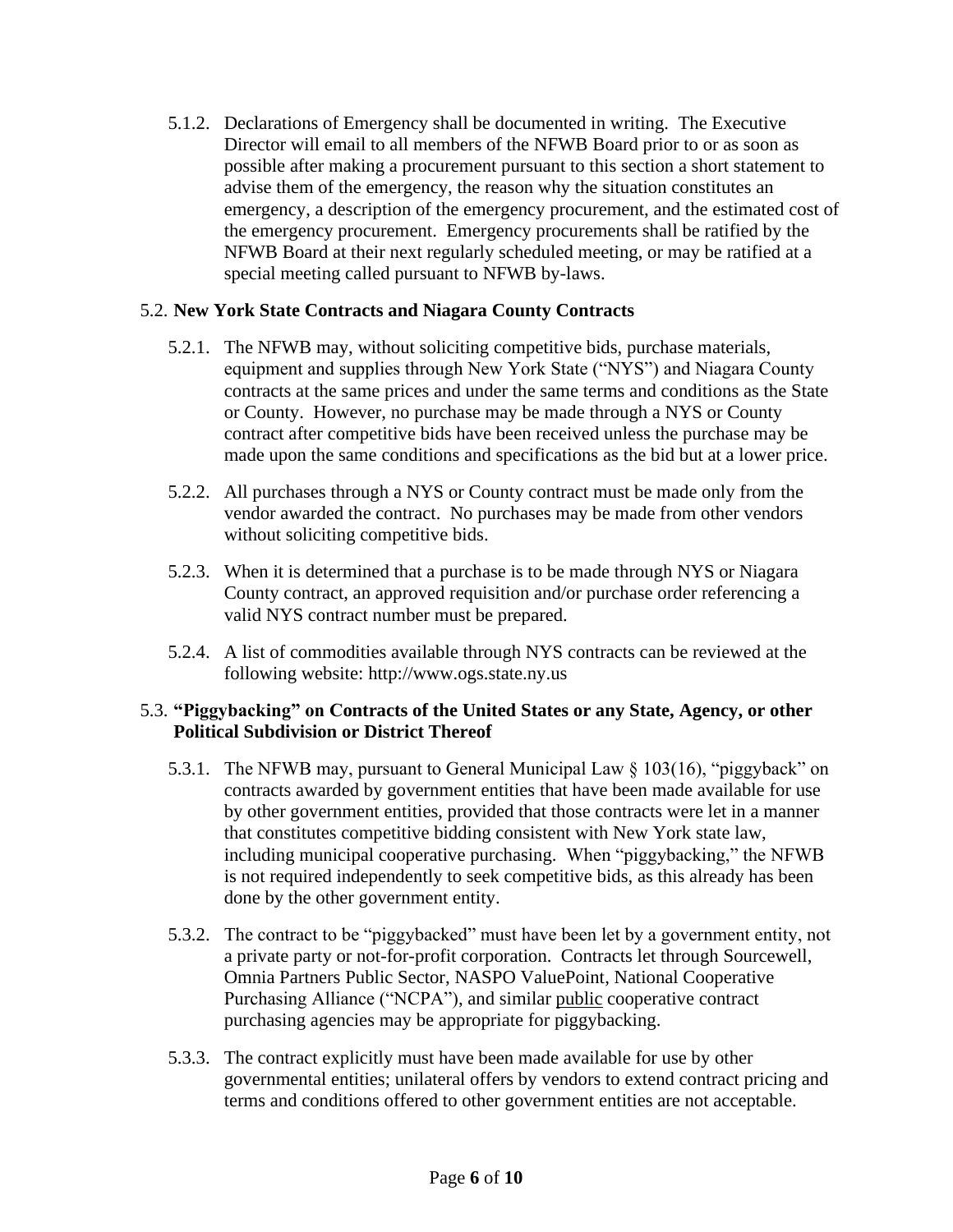5.1.2. Declarations of Emergency shall be documented in writing. The Executive Director will email to all members of the NFWB Board prior to or as soon as possible after making a procurement pursuant to this section a short statement to advise them of the emergency, the reason why the situation constitutes an emergency, a description of the emergency procurement, and the estimated cost of the emergency procurement. Emergency procurements shall be ratified by the NFWB Board at their next regularly scheduled meeting, or may be ratified at a special meeting called pursuant to NFWB by-laws.

## 5.2. **New York State Contracts and Niagara County Contracts**

- 5.2.1. The NFWB may, without soliciting competitive bids, purchase materials, equipment and supplies through New York State ("NYS") and Niagara County contracts at the same prices and under the same terms and conditions as the State or County. However, no purchase may be made through a NYS or County contract after competitive bids have been received unless the purchase may be made upon the same conditions and specifications as the bid but at a lower price.
- 5.2.2. All purchases through a NYS or County contract must be made only from the vendor awarded the contract. No purchases may be made from other vendors without soliciting competitive bids.
- 5.2.3. When it is determined that a purchase is to be made through NYS or Niagara County contract, an approved requisition and/or purchase order referencing a valid NYS contract number must be prepared.
- 5.2.4. A list of commodities available through NYS contracts can be reviewed at the following website: [http://www.ogs.state.ny.us](http://www.ogs.state.ny.us/)

## 5.3. **"Piggybacking" on Contracts of the United States or any State, Agency, or other Political Subdivision or District Thereof**

- 5.3.1. The NFWB may, pursuant to General Municipal Law § 103(16), "piggyback" on contracts awarded by government entities that have been made available for use by other government entities, provided that those contracts were let in a manner that constitutes competitive bidding consistent with New York state law, including municipal cooperative purchasing. When "piggybacking," the NFWB is not required independently to seek competitive bids, as this already has been done by the other government entity.
- 5.3.2. The contract to be "piggybacked" must have been let by a government entity, not a private party or not-for-profit corporation. Contracts let through Sourcewell, Omnia Partners Public Sector, NASPO ValuePoint, National Cooperative Purchasing Alliance ("NCPA"), and similar public cooperative contract purchasing agencies may be appropriate for piggybacking.
- 5.3.3. The contract explicitly must have been made available for use by other governmental entities; unilateral offers by vendors to extend contract pricing and terms and conditions offered to other government entities are not acceptable.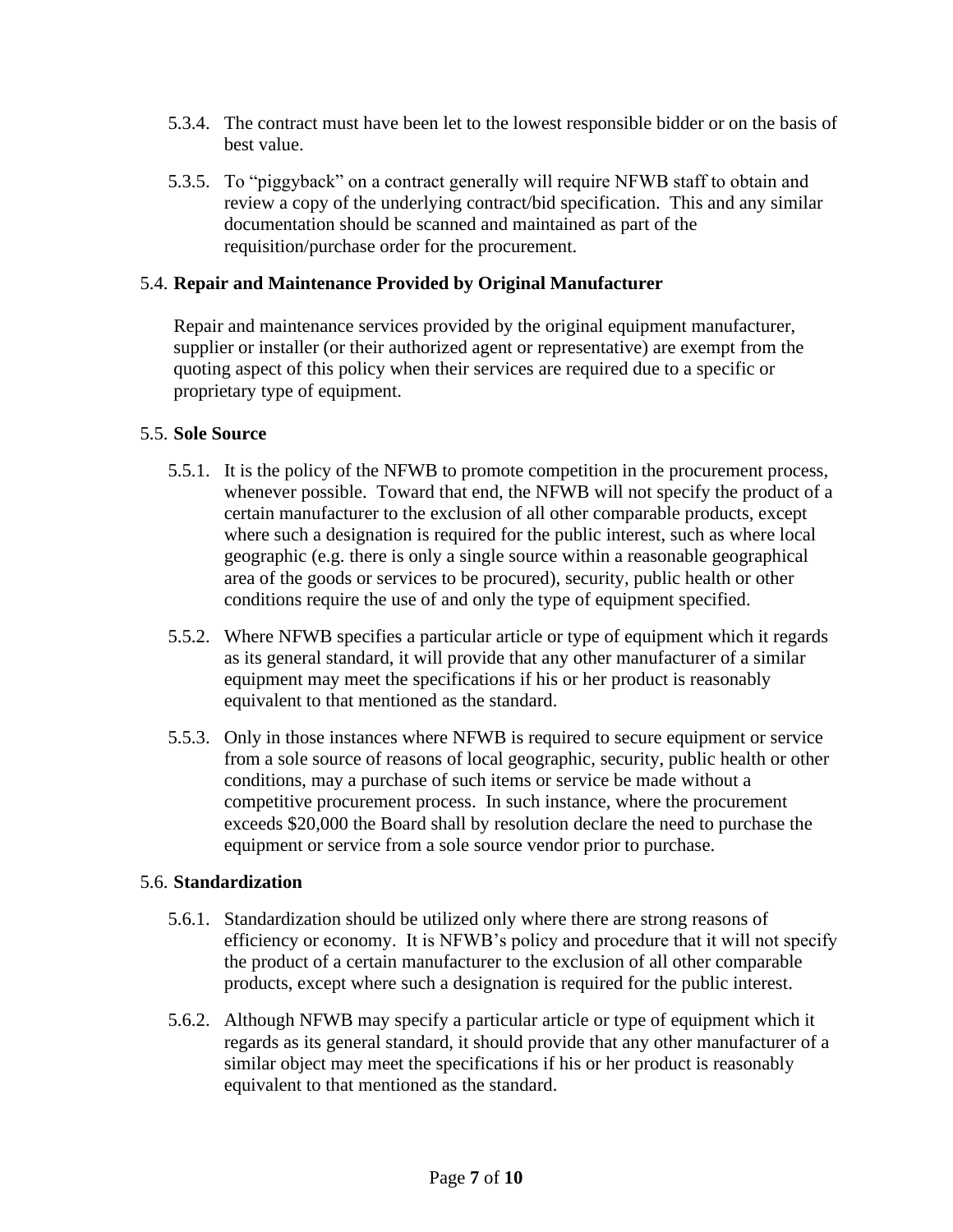- 5.3.4. The contract must have been let to the lowest responsible bidder or on the basis of best value.
- 5.3.5. To "piggyback" on a contract generally will require NFWB staff to obtain and review a copy of the underlying contract/bid specification. This and any similar documentation should be scanned and maintained as part of the requisition/purchase order for the procurement.

## 5.4. **Repair and Maintenance Provided by Original Manufacturer**

Repair and maintenance services provided by the original equipment manufacturer, supplier or installer (or their authorized agent or representative) are exempt from the quoting aspect of this policy when their services are required due to a specific or proprietary type of equipment.

#### 5.5. **Sole Source**

- 5.5.1. It is the policy of the NFWB to promote competition in the procurement process, whenever possible. Toward that end, the NFWB will not specify the product of a certain manufacturer to the exclusion of all other comparable products, except where such a designation is required for the public interest, such as where local geographic (e.g. there is only a single source within a reasonable geographical area of the goods or services to be procured), security, public health or other conditions require the use of and only the type of equipment specified.
- 5.5.2. Where NFWB specifies a particular article or type of equipment which it regards as its general standard, it will provide that any other manufacturer of a similar equipment may meet the specifications if his or her product is reasonably equivalent to that mentioned as the standard.
- 5.5.3. Only in those instances where NFWB is required to secure equipment or service from a sole source of reasons of local geographic, security, public health or other conditions, may a purchase of such items or service be made without a competitive procurement process. In such instance, where the procurement exceeds \$20,000 the Board shall by resolution declare the need to purchase the equipment or service from a sole source vendor prior to purchase.

### 5.6. **Standardization**

- 5.6.1. Standardization should be utilized only where there are strong reasons of efficiency or economy. It is NFWB's policy and procedure that it will not specify the product of a certain manufacturer to the exclusion of all other comparable products, except where such a designation is required for the public interest.
- 5.6.2. Although NFWB may specify a particular article or type of equipment which it regards as its general standard, it should provide that any other manufacturer of a similar object may meet the specifications if his or her product is reasonably equivalent to that mentioned as the standard.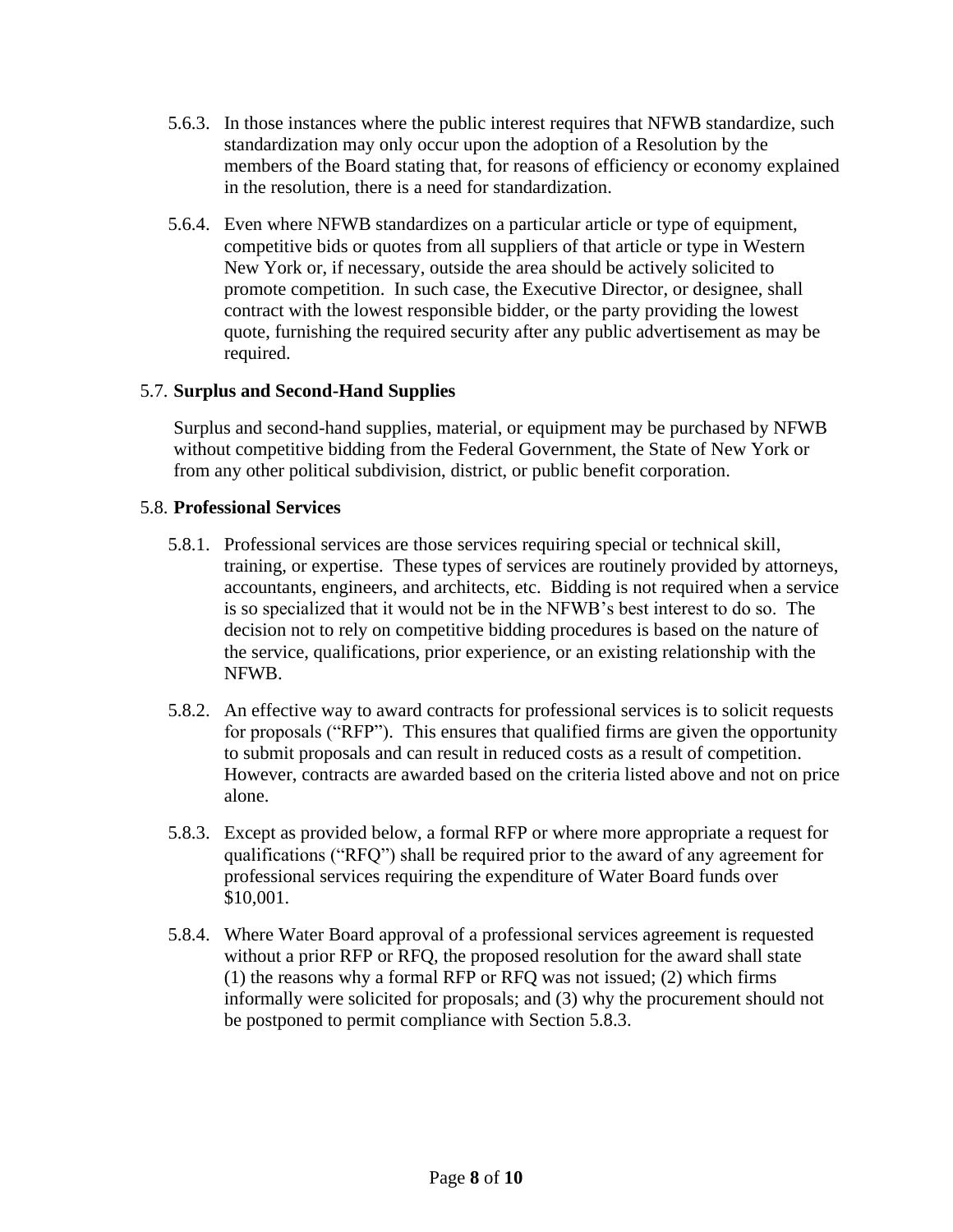- 5.6.3. In those instances where the public interest requires that NFWB standardize, such standardization may only occur upon the adoption of a Resolution by the members of the Board stating that, for reasons of efficiency or economy explained in the resolution, there is a need for standardization.
- 5.6.4. Even where NFWB standardizes on a particular article or type of equipment, competitive bids or quotes from all suppliers of that article or type in Western New York or, if necessary, outside the area should be actively solicited to promote competition. In such case, the Executive Director, or designee, shall contract with the lowest responsible bidder, or the party providing the lowest quote, furnishing the required security after any public advertisement as may be required.

# 5.7. **Surplus and Second-Hand Supplies**

Surplus and second-hand supplies, material, or equipment may be purchased by NFWB without competitive bidding from the Federal Government, the State of New York or from any other political subdivision, district, or public benefit corporation.

# 5.8. **Professional Services**

- 5.8.1. Professional services are those services requiring special or technical skill, training, or expertise. These types of services are routinely provided by attorneys, accountants, engineers, and architects, etc. Bidding is not required when a service is so specialized that it would not be in the NFWB's best interest to do so. The decision not to rely on competitive bidding procedures is based on the nature of the service, qualifications, prior experience, or an existing relationship with the NFWB.
- 5.8.2. An effective way to award contracts for professional services is to solicit requests for proposals ("RFP"). This ensures that qualified firms are given the opportunity to submit proposals and can result in reduced costs as a result of competition. However, contracts are awarded based on the criteria listed above and not on price alone.
- 5.8.3. Except as provided below, a formal RFP or where more appropriate a request for qualifications ("RFQ") shall be required prior to the award of any agreement for professional services requiring the expenditure of Water Board funds over \$10,001.
- 5.8.4. Where Water Board approval of a professional services agreement is requested without a prior RFP or RFQ, the proposed resolution for the award shall state (1) the reasons why a formal RFP or RFQ was not issued; (2) which firms informally were solicited for proposals; and (3) why the procurement should not be postponed to permit compliance with Section 5.8.3.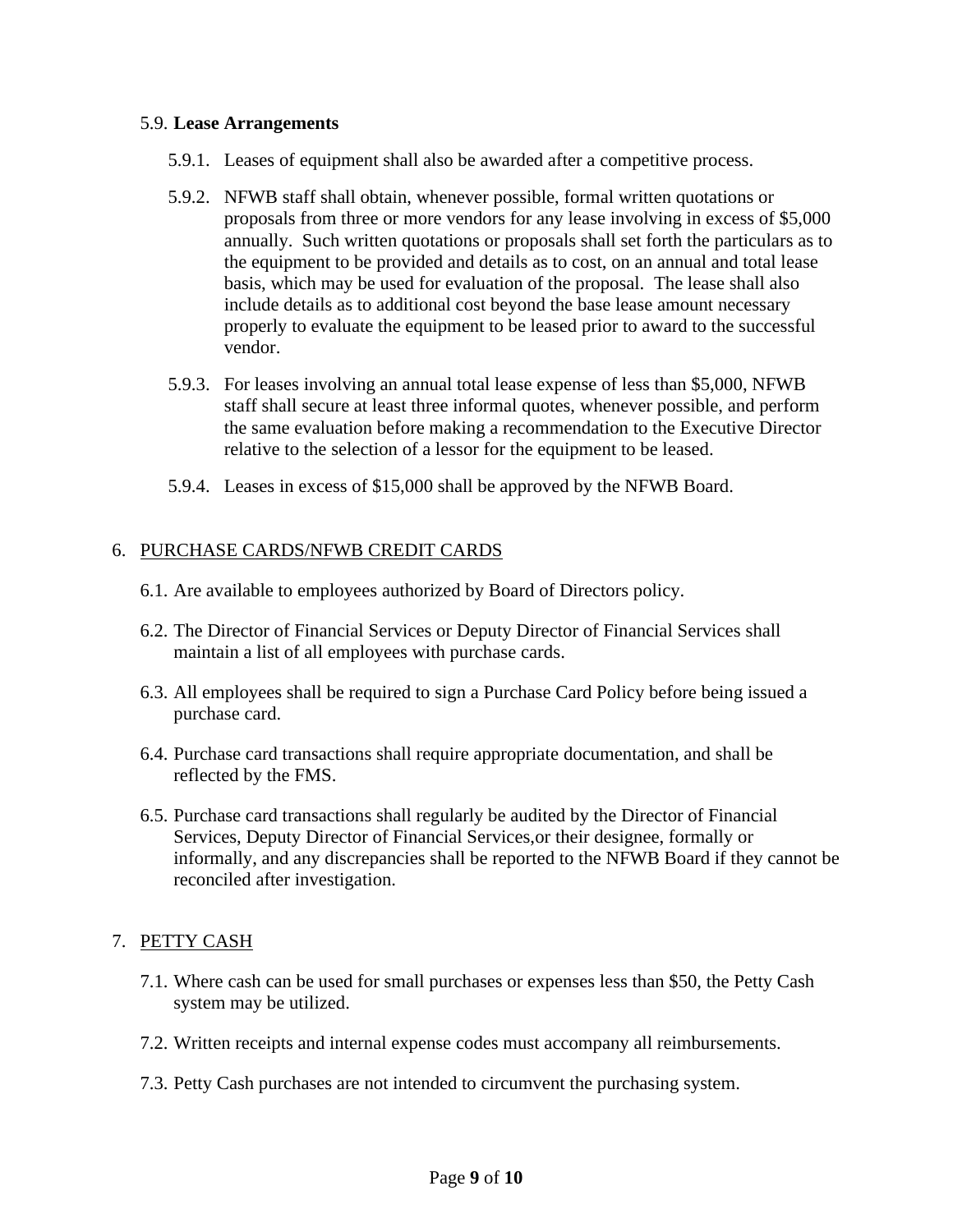#### 5.9. **Lease Arrangements**

- 5.9.1. Leases of equipment shall also be awarded after a competitive process.
- 5.9.2. NFWB staff shall obtain, whenever possible, formal written quotations or proposals from three or more vendors for any lease involving in excess of \$5,000 annually. Such written quotations or proposals shall set forth the particulars as to the equipment to be provided and details as to cost, on an annual and total lease basis, which may be used for evaluation of the proposal. The lease shall also include details as to additional cost beyond the base lease amount necessary properly to evaluate the equipment to be leased prior to award to the successful vendor.
- 5.9.3. For leases involving an annual total lease expense of less than \$5,000, NFWB staff shall secure at least three informal quotes, whenever possible, and perform the same evaluation before making a recommendation to the Executive Director relative to the selection of a lessor for the equipment to be leased.
- 5.9.4. Leases in excess of \$15,000 shall be approved by the NFWB Board.

#### 6. PURCHASE CARDS/NFWB CREDIT CARDS

- 6.1. Are available to employees authorized by Board of Directors policy.
- 6.2. The Director of Financial Services or Deputy Director of Financial Services shall maintain a list of all employees with purchase cards.
- 6.3. All employees shall be required to sign a Purchase Card Policy before being issued a purchase card.
- 6.4. Purchase card transactions shall require appropriate documentation, and shall be reflected by the FMS.
- 6.5. Purchase card transactions shall regularly be audited by the Director of Financial Services, Deputy Director of Financial Services,or their designee, formally or informally, and any discrepancies shall be reported to the NFWB Board if they cannot be reconciled after investigation.

# 7. PETTY CASH

- 7.1. Where cash can be used for small purchases or expenses less than \$50, the Petty Cash system may be utilized.
- 7.2. Written receipts and internal expense codes must accompany all reimbursements.
- 7.3. Petty Cash purchases are not intended to circumvent the purchasing system.